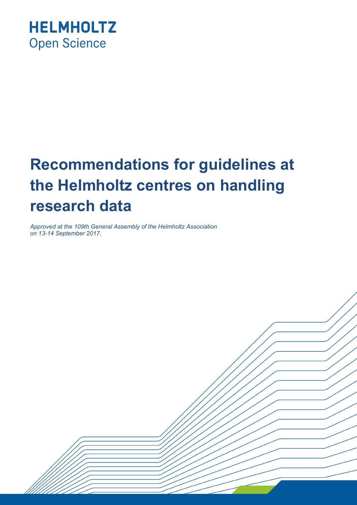

# **Recommendations for guidelines at the Helmholtz centres on handling research data**

*Approved at the 109th General Assembly of the Helmholtz Association on 13-14 September 2017.*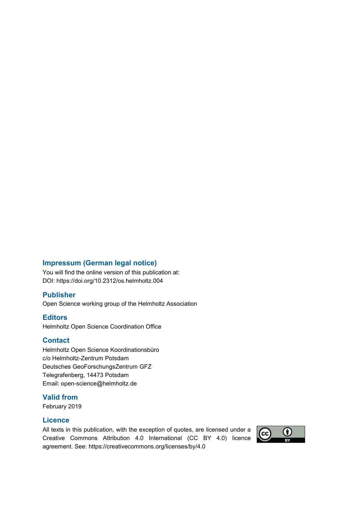#### **Impressum (German legal notice)**

You will find the online version of this publication at: DOI: <https://doi.org/10.2312/os.helmholtz.004>

#### **Publisher**

Open Science working group of the Helmholtz Association

#### **Editors**

Helmholtz Open Science Coordination Office

#### **Contact**

Helmholtz Open Science Koordinationsbüro c/o Helmholtz-Zentrum Potsdam Deutsches GeoForschungsZentrum GFZ Telegrafenberg, 14473 Potsdam Email: [open-science@helmholtz.de](mailto:open-science@helmholtz.de) 

#### **Valid from**

February 2019

#### **Licence**

All texts in this publication, with the exception of quotes, are licensed under a Creative Commons Attribution 4.0 International (CC BY 4.0) licence agreement. See: https://creativecommons.org/licenses/by/4.0

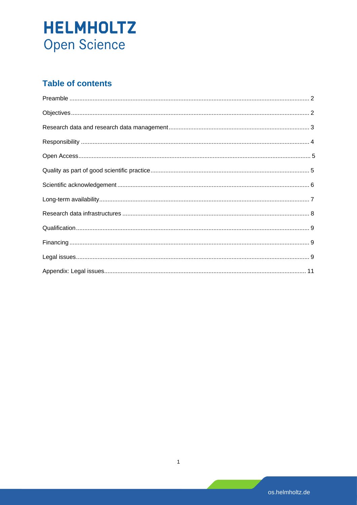### **Table of contents**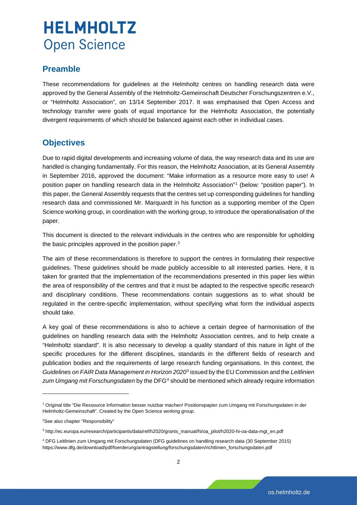### <span id="page-3-0"></span>**Preamble**

These recommendations for guidelines at the Helmholtz centres on handling research data were approved by the General Assembly of the Helmholtz-Gemeinschaft Deutscher Forschungszentren e.V., or "Helmholtz Association", on 13/14 September 2017. It was emphasised that Open Access and technology transfer were goals of equal importance for the Helmholtz Association, the potentially divergent requirements of which should be balanced against each other in individual cases.

### **Objectives**

Due to rapid digital developments and increasing volume of data, the way research data and its use are handled is changing fundamentally. For this reason, the Helmholtz Association, at its General Assembly in September 2016, approved the document: "Make information as a resource more easy to use! A position paper on handling research data in the Helmholtz Association"[1](#page-3-1) (below: "position paper"). In this paper, the General Assembly requests that the centres set up corresponding guidelines for handling research data and commissioned Mr. Marquardt in his function as a supporting member of the Open Science working group, in coordination with the working group, to introduce the operationalisation of the paper.

This document is directed to the relevant individuals in the centres who are responsible for upholding the basic principles approved in the position paper.<sup>[2](#page-3-2)</sup>

The aim of these recommendations is therefore to support the centres in formulating their respective guidelines. These guidelines should be made publicly accessible to all interested parties. Here, it is taken for granted that the implementation of the recommendations presented in this paper lies within the area of responsibility of the centres and that it must be adapted to the respective specific research and disciplinary conditions. These recommendations contain suggestions as to what should be regulated in the centre-specific implementation, without specifying what form the individual aspects should take.

A key goal of these recommendations is also to achieve a certain degree of harmonisation of the guidelines on handling research data with the Helmholtz Association centres, and to help create a "Helmholtz standard". It is also necessary to develop a quality standard of this nature in light of the specific procedures for the different disciplines, standards in the different fields of research and publication bodies and the requirements of large research funding organisations. In this context, the *Guidelines on FAIR Data Management in Horizon 2020*[3](#page-3-3) issued by the EU Commission and the *Leitlinien*  zum Umgang mit Forschungsdaten by the DFG<sup>[4](#page-3-4)</sup> should be mentioned which already require information

<span id="page-3-1"></span><sup>1</sup> Original title "Die Ressource Information besser nutzbar machen! Positionspapier zum Umgang mit Forschungsdaten in der Helmholtz-Gemeinschaft". Created by the Open Science working group.

<span id="page-3-2"></span><sup>2</sup> See also [chapter "Responsibility"](#page-5-0) 

<span id="page-3-3"></span><sup>3</sup> http://ec.europa.eu/research/participants/data/ref/h2020/grants\_manual/hi/oa\_pilot/h2020-hi-oa-data-mgt\_en.pdf

<span id="page-3-4"></span><sup>4</sup> DFG Leitlinien zum Umgang mit Forschungsdaten (DFG guidelines on handling research data (30 September 2015) https://www.dfg.de/download/pdf/foerderung/antragstellung/forschungsdaten/richtlinien\_forschungsdaten.pdf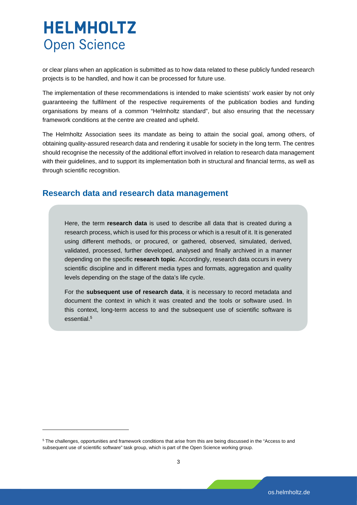<span id="page-4-0"></span>or clear plans when an application is submitted as to how data related to these publicly funded research projects is to be handled, and how it can be processed for future use.

The implementation of these recommendations is intended to make scientists' work easier by not only guaranteeing the fulfilment of the respective requirements of the publication bodies and funding organisations by means of a common "Helmholtz standard", but also ensuring that the necessary framework conditions at the centre are created and upheld.

The Helmholtz Association sees its mandate as being to attain the social goal, among others, of obtaining quality-assured research data and rendering it usable for society in the long term. The centres should recognise the necessity of the additional effort involved in relation to research data management with their guidelines, and to support its implementation both in structural and financial terms, as well as through scientific recognition.

#### **Research data and research data management[5](#page-4-1)**

Here, the term **research data** is used to describe all data that is created during a research process, which is used for this process or which is a result of it. It is generated using different methods, or procured, or gathered, observed, simulated, derived, validated, processed, further developed, analysed and finally archived in a manner depending on the specific **research topic**. Accordingly, research data occurs in every scientific discipline and in different media types and formats, aggregation and quality levels depending on the stage of the data's life cycle.

For the **subsequent use of research data**, it is necessary to record metadata and document the context in which it was created and the tools or software used. In this context, long-term access to and the subsequent use of scientific software is essential.<sup>5</sup>

<span id="page-4-1"></span><sup>&</sup>lt;sup>5</sup> The challenges, opportunities and framework conditions that arise from this are being discussed in the "Access to and subsequent use of scientific software" task group, which is part of the Open Science working group.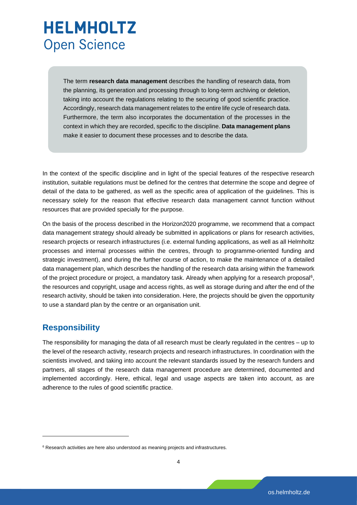<span id="page-5-0"></span>The term **research data management** describes the handling of research data, from the planning, its generation and processing through to long-term archiving or deletion, taking into account the regulations relating to the securing of good scientific practice. Accordingly, research data management relates to the entire life cycle of research data. Furthermore, the term also incorporates the documentation of the processes in the context in which they are recorded, specific to the discipline. **Data management plans** make it easier to document these processes and to describe the data.

In the context of the specific discipline and in light of the special features of the respective research institution, suitable regulations must be defined for the centres that determine the scope and degree of detail of the data to be gathered, as well as the specific area of application of the guidelines. This is necessary solely for the reason that effective research data management cannot function without resources that are provided specially for the purpose.

On the basis of the process described in the Horizon2020 programme, we recommend that a compact data management strategy should already be submitted in applications or plans for research activities, research projects or research infrastructures (i.e. external funding applications, as well as all Helmholtz processes and internal processes within the centres, through to programme-oriented funding and strategic investment), and during the further course of action, to make the maintenance of a detailed data management plan, which describes the handling of the research data arising within the framework of the project procedure or project, a mandatory task. Already when applying for a research proposal<sup>6</sup>, the resources and copyright, usage and access rights, as well as storage during and after the end of the research activity, should be taken into consideration. Here, the projects should be given the opportunity to use a standard plan by the centre or an organisation unit.

### **Responsibility**

The responsibility for managing the data of all research must be clearly regulated in the centres – up to the level of the research activity, research projects and research infrastructures. In coordination with the scientists involved, and taking into account the relevant standards issued by the research funders and partners, all stages of the research data management procedure are determined, documented and implemented accordingly. Here, ethical, legal and usage aspects are taken into account, as are adherence to the rules of good scientific practice.

<span id="page-5-1"></span><sup>&</sup>lt;sup>6</sup> Research activities are here also understood as meaning projects and infrastructures.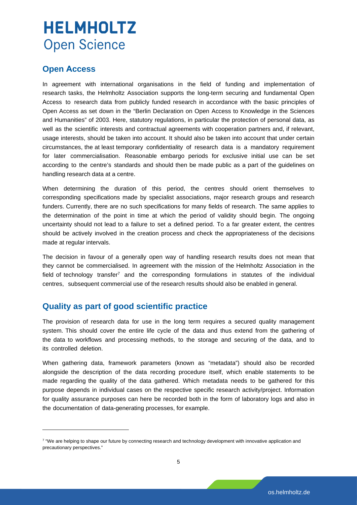#### <span id="page-6-0"></span>**Open Access**

In agreement with international organisations in the field of funding and implementation of research tasks, the Helmholtz Association supports the long-term securing and fundamental Open Access to research data from publicly funded research in accordance with the basic principles of Open Access as set down in the "Berlin Declaration on Open Access to Knowledge in the Sciences and Humanities" of 2003. Here, statutory regulations, in particular the protection of personal data, as well as the scientific interests and contractual agreements with cooperation partners and, if relevant, usage interests, should be taken into account. It should also be taken into account that under certain circumstances, the at least temporary confidentiality of research data is a mandatory requirement for later commercialisation. Reasonable embargo periods for exclusive initial use can be set according to the centre's standards and should then be made public as a part of the guidelines on handling research data at a centre.

When determining the duration of this period, the centres should orient themselves to corresponding specifications made by specialist associations, major research groups and research funders. Currently, there are no such specifications for many fields of research. The same applies to the determination of the point in time at which the period of validity should begin. The ongoing uncertainty should not lead to a failure to set a defined period. To a far greater extent, the centres should be actively involved in the creation process and check the appropriateness of the decisions made at regular intervals.

The decision in favour of a generally open way of handling research results does not mean that they cannot be commercialised. In agreement with the mission of the Helmholtz Association in the field of technology transfer<sup>[7](#page-6-1)</sup> and the corresponding formulations in statutes of the individual centres, subsequent commercial use of the research results should also be enabled in general.

#### **Quality as part of good scientific practice**

The provision of research data for use in the long term requires a secured quality management system. This should cover the entire life cycle of the data and thus extend from the gathering of the data to workflows and processing methods, to the storage and securing of the data, and to its controlled deletion.

When gathering data, framework parameters (known as "metadata") should also be recorded alongside the description of the data recording procedure itself, which enable statements to be made regarding the quality of the data gathered. Which metadata needs to be gathered for this purpose depends in individual cases on the respective specific research activity/project. Information for quality assurance purposes can here be recorded both in the form of laboratory logs and also in the documentation of data-generating processes, for example.

<span id="page-6-1"></span><sup>&</sup>lt;sup>7</sup> "We are helping to shape our future by connecting research and technology development with innovative application and precautionary perspectives."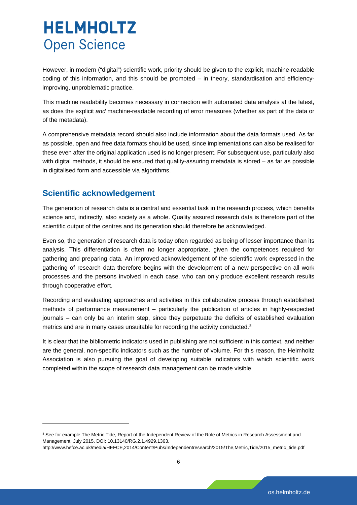<span id="page-7-0"></span>However, in modern ("digital") scientific work, priority should be given to the explicit, machine-readable coding of this information, and this should be promoted – in theory, standardisation and efficiencyimproving, unproblematic practice.

This machine readability becomes necessary in connection with automated data analysis at the latest, as does the explicit *and* machine-readable recording of error measures (whether as part of the data or of the metadata).

A comprehensive metadata record should also include information about the data formats used. As far as possible, open and free data formats should be used, since implementations can also be realised for these even after the original application used is no longer present. For subsequent use, particularly also with digital methods, it should be ensured that quality-assuring metadata is stored – as far as possible in digitalised form and accessible via algorithms.

### **Scientific acknowledgement**

-

The generation of research data is a central and essential task in the research process, which benefits science and, indirectly, also society as a whole. Quality assured research data is therefore part of the scientific output of the centres and its generation should therefore be acknowledged.

Even so, the generation of research data is today often regarded as being of lesser importance than its analysis. This differentiation is often no longer appropriate, given the competences required for gathering and preparing data. An improved acknowledgement of the scientific work expressed in the gathering of research data therefore begins with the development of a new perspective on all work processes and the persons involved in each case, who can only produce excellent research results through cooperative effort.

Recording and evaluating approaches and activities in this collaborative process through established methods of performance measurement – particularly the publication of articles in highly-respected journals – can only be an interim step, since they perpetuate the deficits of established evaluation metrics and are in many cases unsuitable for recording the activity conducted.<sup>[8](#page-7-1)</sup>

It is clear that the bibliometric indicators used in publishing are not sufficient in this context, and neither are the general, non-specific indicators such as the number of volume. For this reason, the Helmholtz Association is also pursuing the goal of developing suitable indicators with which scientific work completed within the scope of research data management can be made visible.

<span id="page-7-1"></span><sup>&</sup>lt;sup>8</sup> See for example The Metric Tide, Report of the Independent Review of the Role of Metrics in Research Assessment and Management, July 2015. DOI: [10.13140/RG.2.1.4929.1363](https://doi.org/10.13140/RG.2.1.4929.1363).

http://www.hefce.ac.uk/media/HEFCE,2014/Content/Pubs/Independentresearch/2015/The,Metric,Tide/2015\_metric\_tide.pdf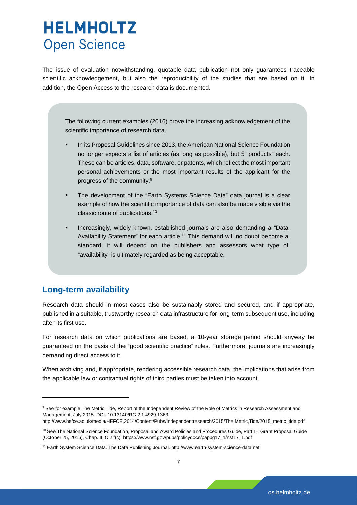<span id="page-8-0"></span>The issue of evaluation notwithstanding, quotable data publication not only guarantees traceable scientific acknowledgement, but also the reproducibility of the studies that are based on it. In addition, the Open Access to the research data is documented.

The following current examples (2016) prove the increasing acknowledgement of the scientific importance of research data.

- In its Proposal Guidelines since 2013, the American National Science Foundation no longer expects a list of articles (as long as possible), but 5 "products" each. These can be articles, data, software, or patents, which reflect the most important personal achievements or the most important results of the applicant for the progress of the community.9
- The development of the "Earth Systems Science Data" data journal is a clear example of how the scientific importance of data can also be made visible via the classic route of publications.10
- Increasingly, widely known, established journals are also demanding a "Data Availability Statement" for each article.<sup>11</sup> This demand will no doubt become a standard; it will depend on the publishers and assessors what type of "availability" is ultimately regarded as being acceptable.

#### **Long-term availability**

Research data should in most cases also be sustainably stored and secured, and if appropriate, published in a suitable, trustworthy research data infrastructure for long-term subsequent use, including after its first use.

For research data on which publications are based, a 10-year storage period should anyway be guaranteed on the basis of the "good scientific practice" rules. Furthermore, journals are increasingly demanding direct access to it.

When archiving and, if appropriate, rendering accessible research data, the implications that arise from the applicable law or contractual rights of third parties must be taken into account.

<span id="page-8-1"></span><sup>&</sup>lt;sup>9</sup> See for example The Metric Tide, Report of the Independent Review of the Role of Metrics in Research Assessment and Management, July 2015. DOI: [10.13140/RG.2.1.4929.1363](https://doi.org/10.13140/RG.2.1.4929.1363).

http://www.hefce.ac.uk/media/HEFCE,2014/Content/Pubs/Independentresearch/2015/The,Metric,Tide/2015\_metric\_tide.pdf

<span id="page-8-2"></span><sup>&</sup>lt;sup>10</sup> See The National Science Foundation, Proposal and Award Policies and Procedures Guide, Part I – Grant Proposal Guide (October 25, 2016), Chap. II, C.2.f(c). https://www.nsf.gov/pubs/policydocs/pappg17\_1/nsf17\_1.pdf

<span id="page-8-3"></span><sup>11</sup> Earth System Science Data. The Data Publishing Journal. http://www.earth-system-science-data.net.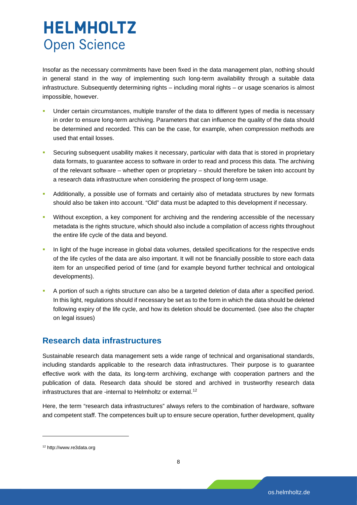<span id="page-9-0"></span>Insofar as the necessary commitments have been fixed in the data management plan, nothing should in general stand in the way of implementing such long-term availability through a suitable data infrastructure. Subsequently determining rights – including moral rights – or usage scenarios is almost impossible, however.

- Under certain circumstances, multiple transfer of the data to different types of media is necessary in order to ensure long-term archiving. Parameters that can influence the quality of the data should be determined and recorded. This can be the case, for example, when compression methods are used that entail losses.
- Securing subsequent usability makes it necessary, particular with data that is stored in proprietary data formats, to guarantee access to software in order to read and process this data. The archiving of the relevant software – whether open or proprietary – should therefore be taken into account by a research data infrastructure when considering the prospect of long-term usage.
- Additionally, a possible use of formats and certainly also of metadata structures by new formats should also be taken into account. "Old" data must be adapted to this development if necessary.
- Without exception, a key component for archiving and the rendering accessible of the necessary metadata is the rights structure, which should also include a compilation of access rights throughout the entire life cycle of the data and beyond.
- In light of the huge increase in global data volumes, detailed specifications for the respective ends of the life cycles of the data are also important. It will not be financially possible to store each data item for an unspecified period of time (and for example beyond further technical and ontological developments).
- A portion of such a rights structure can also be a targeted deletion of data after a specified period. In this light, regulations should if necessary be set as to the form in which the data should be deleted following expiry of the life cycle, and how its deletion should be documented. (see also the chapter on legal issues)

#### **Research data infrastructures**

Sustainable research data management sets a wide range of technical and organisational standards, including standards applicable to the research data infrastructures. Their purpose is to guarantee effective work with the data, its long-term archiving, exchange with cooperation partners and the publication of data. Research data should be stored and archived in trustworthy research data infrastructures that are -internal to Helmholtz or external.<sup>[12](#page-9-1)</sup>

Here, the term "research data infrastructures" always refers to the combination of hardware, software and competent staff. The competences built up to ensure secure operation, further development, quality

<span id="page-9-1"></span><sup>12</sup> http://www.re3data.org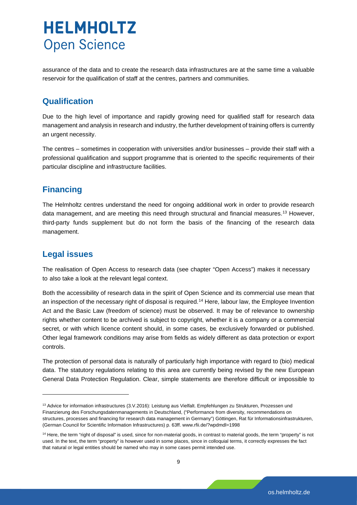<span id="page-10-0"></span>assurance of the data and to create the research data infrastructures are at the same time a valuable reservoir for the qualification of staff at the centres, partners and communities.

### **Qualification**

Due to the high level of importance and rapidly growing need for qualified staff for research data management and analysis in research and industry, the further development of training offers is currently an urgent necessity.

The centres – sometimes in cooperation with universities and/or businesses – provide their staff with a professional qualification and support programme that is oriented to the specific requirements of their particular discipline and infrastructure facilities.

### **Financing**

The Helmholtz centres understand the need for ongoing additional work in order to provide research data management, and are meeting this need through structural and financial measures.<sup>[13](#page-10-1)</sup> However, third-party funds supplement but do not form the basis of the financing of the research data management.

### **Legal issues**

The realisation of Open Access to research data (see [chapter "Open Access"](#page-6-0)) makes it necessary to also take a look at the relevant legal context.

Both the accessibility of research data in the spirit of Open Science and its commercial use mean that an inspection of the necessary right of disposal is required.<sup>[14](#page-10-2)</sup> Here, labour law, the Employee Invention Act and the Basic Law (freedom of science) must be observed. It may be of relevance to ownership rights whether content to be archived is subject to copyright, whether it is a company or a commercial secret, or with which licence content should, in some cases, be exclusively forwarded or published. Other legal framework conditions may arise from fields as widely different as data protection or export controls.

The protection of personal data is naturally of particularly high importance with regard to (bio) medical data. The statutory regulations relating to this area are currently being revised by the new European General Data Protection Regulation. Clear, simple statements are therefore difficult or impossible to

<span id="page-10-1"></span><sup>13</sup> Advice for information infrastructures (3.V.2016): Leistung aus Vielfalt. Empfehlungen zu Strukturen, Prozessen und Finanzierung des Forschungsdatenmanagements in Deutschland, ("Performance from diversity, recommendations on structures, processes and financing for research data management in Germany") Göttingen, Rat für Informationsinfrastrukturen, (German Council for Scientific Information Infrastructures) p. 63ff. www.rfii.de/?wpdmdl=1998

<span id="page-10-2"></span><sup>&</sup>lt;sup>14</sup> Here, the term "right of disposal" is used, since for non-material goods, in contrast to material goods, the term "property" is not used. In the text, the term "property" is however used in some places, since in colloquial terms, it correctly expresses the fact that natural or legal entities should be named who may in some cases permit intended use.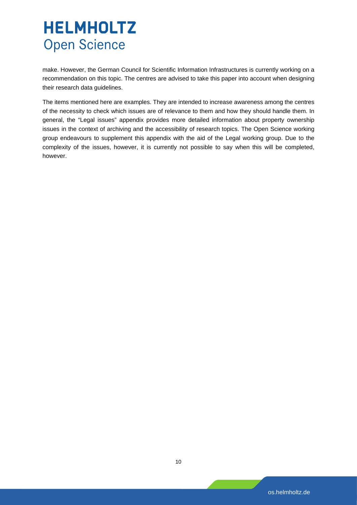make. However, the German Council for Scientific Information Infrastructures is currently working on a recommendation on this topic. The centres are advised to take this paper into account when designing their research data guidelines.

The items mentioned here are examples. They are intended to increase awareness among the centres of the necessity to check which issues are of relevance to them and how they should handle them. In general, the "Legal issues" appendix provides more detailed information about property ownership issues in the context of archiving and the accessibility of research topics. The Open Science working group endeavours to supplement this appendix with the aid of the Legal working group. Due to the complexity of the issues, however, it is currently not possible to say when this will be completed, however.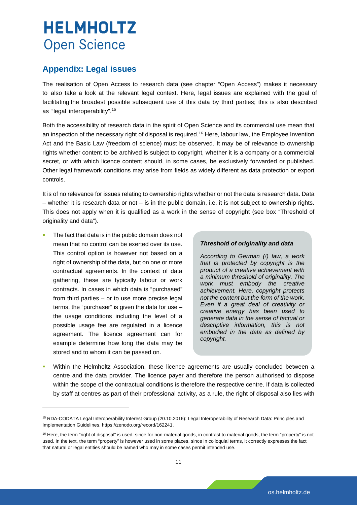### <span id="page-12-0"></span>**Appendix: Legal issues**

The realisation of Open Access to research data (see [chapter "Open Access"\)](#page-6-0) makes it necessary to also take a look at the relevant legal context. Here, legal issues are explained with the goal of facilitating the broadest possible subsequent use of this data by third parties; this is also described as "legal interoperability".[15](#page-12-1)

Both the accessibility of research data in the spirit of Open Science and its commercial use mean that an inspection of the necessary right of disposal is required.<sup>[16](#page-12-2)</sup> Here, labour law, the Employee Invention Act and the Basic Law (freedom of science) must be observed. It may be of relevance to ownership rights whether content to be archived is subject to copyright, whether it is a company or a commercial secret, or with which licence content should, in some cases, be exclusively forwarded or published. Other legal framework conditions may arise from fields as widely different as data protection or export controls.

It is of no relevance for issues relating to ownership rights whether or not the data is research data. Data – whether it is research data or not – is in the public domain, i.e. it is not subject to ownership rights. This does not apply when it is qualified as a work in the sense of copyright (see box "Threshold of originality and data").

 The fact that data is in the public domain does not mean that no control can be exerted over its use. This control option is however not based on a right of ownership of the data, but on one or more contractual agreements. In the context of data gathering, these are typically labour or work contracts. In cases in which data is "purchased" from third parties – or to use more precise legal terms, the "purchaser" is given the data for use – the usage conditions including the level of a possible usage fee are regulated in a licence agreement. The licence agreement can for example determine how long the data may be stored and to whom it can be passed on.

#### *Threshold of originality and data*

*According to German (!) law, a work that is protected by copyright is the product of a creative achievement with a minimum threshold of originality. The work must embody the creative achievement. Here, copyright protects not the content but the form of the work. Even if a great deal of creativity or creative energy has been used to generate data in the sense of factual or descriptive information, this is not embodied in the data as defined by copyright.*

 Within the Helmholtz Association, these licence agreements are usually concluded between a centre and the data provider. The licence payer and therefore the person authorised to dispose within the scope of the contractual conditions is therefore the respective centre. If data is collected by staff at centres as part of their professional activity, as a rule, the right of disposal also lies with

<span id="page-12-1"></span><sup>15</sup> RDA-CODATA Legal Interoperability Interest Group (20.10.2016): Legal Interoperability of Research Data: Principles and Implementation Guidelines, https://zenodo.org/record/162241.

<span id="page-12-2"></span><sup>&</sup>lt;sup>16</sup> Here, the term "right of disposal" is used, since for non-material goods, in contrast to material goods, the term "property" is not used. In the text, the term "property" is however used in some places, since in colloquial terms, it correctly expresses the fact that natural or legal entities should be named who may in some cases permit intended use.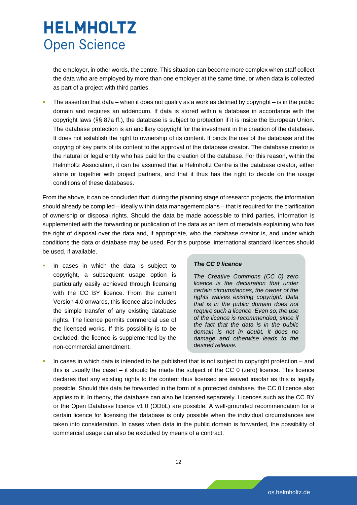the employer, in other words, the centre. This situation can become more complex when staff collect the data who are employed by more than one employer at the same time, or when data is collected as part of a project with third parties.

 The assertion that data – when it does not qualify as a work as defined by copyright – is in the public domain and requires an addendum. If data is stored within a database in accordance with the copyright laws (§§ 87a ff.), the database is subject to protection if it is inside the European Union. The database protection is an ancillary copyright for the investment in the creation of the database. It does not establish the right to ownership of its content. It binds the use of the database and the copying of key parts of its content to the approval of the database creator. The database creator is the natural or legal entity who has paid for the creation of the database. For this reason, within the Helmholtz Association, it can be assumed that a Helmholtz Centre is the database creator, either alone or together with project partners, and that it thus has the right to decide on the usage conditions of these databases.

From the above, it can be concluded that: during the planning stage of research projects, the information should already be compiled – ideally within data management plans – that is required for the clarification of ownership or disposal rights. Should the data be made accessible to third parties, information is supplemented with the forwarding or publication of the data as an item of metadata explaining who has the right of disposal over the data and, if appropriate, who the database creator is, and under which conditions the data or database may be used. For this purpose, international standard licences should be used, if available.

 In cases in which the data is subject to copyright, a subsequent usage option is particularly easily achieved through licensing with the CC BY licence. From the current Version 4.0 onwards, this licence also includes the simple transfer of any existing database rights. The licence permits commercial use of the licensed works. If this possibility is to be excluded, the licence is supplemented by the non-commercial amendment.

#### *The CC 0 licence*

*The Creative Commons (CC 0) zero licence is the declaration that under certain circumstances, the owner of the rights waives existing copyright. Data that is in the public domain does not require such a licence. Even so, the use of the licence is recommended, since if the fact that the data is in the public domain is not in doubt, it does no damage and otherwise leads to the desired release.* 

 In cases in which data is intended to be published that is not subject to copyright protection – and this is usually the case! – it should be made the subject of the CC 0 (zero) licence. This licence declares that any existing rights to the content thus licensed are waived insofar as this is legally possible. Should this data be forwarded in the form of a protected database, the CC 0 licence also applies to it. In theory, the database can also be licensed separately. Licences such as the CC BY or the Open Database licence v1.0 (ODbL) are possible. A well-grounded recommendation for a certain licence for licensing the database is only possible when the individual circumstances are taken into consideration. In cases when data in the public domain is forwarded, the possibility of commercial usage can also be excluded by means of a contract.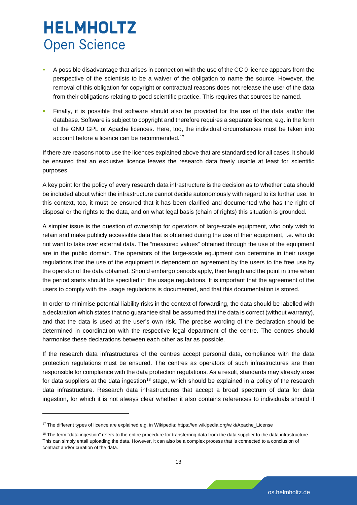- A possible disadvantage that arises in connection with the use of the CC 0 licence appears from the perspective of the scientists to be a waiver of the obligation to name the source. However, the removal of this obligation for copyright or contractual reasons does not release the user of the data from their obligations relating to good scientific practice. This requires that sources be named.
- Finally, it is possible that software should also be provided for the use of the data and/or the database. Software is subject to copyright and therefore requires a separate licence, e.g. in the form of the GNU GPL or Apache licences. Here, too, the individual circumstances must be taken into account before a licence can be recommended.<sup>[17](#page-14-0)</sup>

If there are reasons not to use the licences explained above that are standardised for all cases, it should be ensured that an exclusive licence leaves the research data freely usable at least for scientific purposes.

A key point for the policy of every research data infrastructure is the decision as to whether data should be included about which the infrastructure cannot decide autonomously with regard to its further use. In this context, too, it must be ensured that it has been clarified and documented who has the right of disposal or the rights to the data, and on what legal basis (chain of rights) this situation is grounded.

A simpler issue is the question of ownership for operators of large-scale equipment, who only wish to retain and make publicly accessible data that is obtained during the use of their equipment, i.e. who do not want to take over external data. The "measured values" obtained through the use of the equipment are in the public domain. The operators of the large-scale equipment can determine in their usage regulations that the use of the equipment is dependent on agreement by the users to the free use by the operator of the data obtained. Should embargo periods apply, their length and the point in time when the period starts should be specified in the usage regulations. It is important that the agreement of the users to comply with the usage regulations is documented, and that this documentation is stored.

In order to minimise potential liability risks in the context of forwarding, the data should be labelled with a declaration which states that no guarantee shall be assumed that the data is correct (without warranty), and that the data is used at the user's own risk. The precise wording of the declaration should be determined in coordination with the respective legal department of the centre. The centres should harmonise these declarations between each other as far as possible.

If the research data infrastructures of the centres accept personal data, compliance with the data protection regulations must be ensured. The centres as operators of such infrastructures are then responsible for compliance with the data protection regulations. As a result, standards may already arise for data suppliers at the data ingestion<sup>[18](#page-14-1)</sup> stage, which should be explained in a policy of the research data infrastructure. Research data infrastructures that accept a broad spectrum of data for data ingestion, for which it is not always clear whether it also contains references to individuals should if

-

<span id="page-14-0"></span><sup>17</sup> The different types of licence are explained e.g. in Wikipedia: https://en.wikipedia.org/wiki/Apache\_License

<span id="page-14-1"></span><sup>&</sup>lt;sup>18</sup> The term "data ingestion" refers to the entire procedure for transferring data from the data supplier to the data infrastructure. This can simply entail uploading the data. However, it can also be a complex process that is connected to a conclusion of contract and/or curation of the data.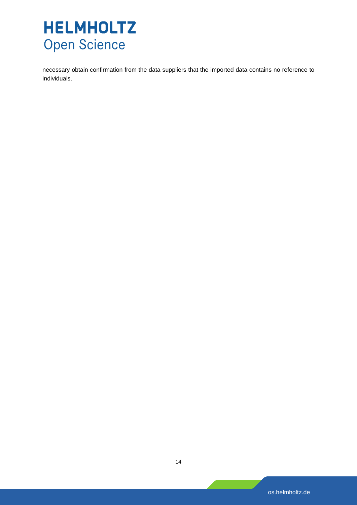necessary obtain confirmation from the data suppliers that the imported data contains no reference to individuals.